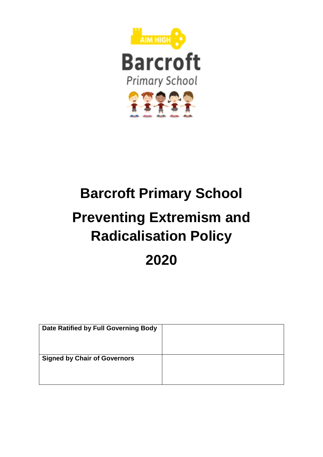

# **Barcroft Primary School Preventing Extremism and Radicalisation Policy 2020**

| Date Ratified by Full Governing Body |  |
|--------------------------------------|--|
| <b>Signed by Chair of Governors</b>  |  |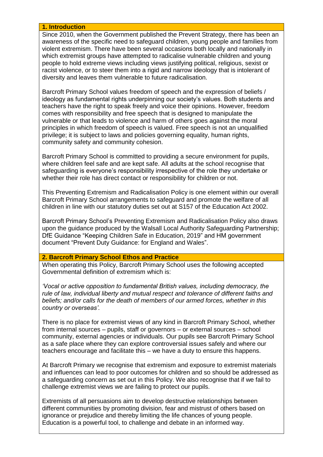#### **1. Introduction**

Since 2010, when the Government published the Prevent Strategy, there has been an awareness of the specific need to safeguard children, young people and families from violent extremism. There have been several occasions both locally and nationally in which extremist groups have attempted to radicalise vulnerable children and young people to hold extreme views including views justifying political, religious, sexist or racist violence, or to steer them into a rigid and narrow ideology that is intolerant of diversity and leaves them vulnerable to future radicalisation.

Barcroft Primary School values freedom of speech and the expression of beliefs / ideology as fundamental rights underpinning our society's values. Both students and teachers have the right to speak freely and voice their opinions. However, freedom comes with responsibility and free speech that is designed to manipulate the vulnerable or that leads to violence and harm of others goes against the moral principles in which freedom of speech is valued. Free speech is not an unqualified privilege; it is subject to laws and policies governing equality, human rights, community safety and community cohesion.

Barcroft Primary School is committed to providing a secure environment for pupils, where children feel safe and are kept safe. All adults at the school recognise that safeguarding is everyone's responsibility irrespective of the role they undertake or whether their role has direct contact or responsibility for children or not.

This Preventing Extremism and Radicalisation Policy is one element within our overall Barcroft Primary School arrangements to safeguard and promote the welfare of all children in line with our statutory duties set out at S157 of the Education Act 2002.

Barcroft Primary School's Preventing Extremism and Radicalisation Policy also draws upon the guidance produced by the Walsall Local Authority Safeguarding Partnership; DfE Guidance "Keeping Children Safe in Education, 2019" and HM government document "Prevent Duty Guidance: for England and Wales".

#### **2. Barcroft Primary School Ethos and Practice**

When operating this Policy, Barcroft Primary School uses the following accepted Governmental definition of extremism which is:

*'Vocal or active opposition to fundamental British values, including democracy, the rule of law, individual liberty and mutual respect and tolerance of different faiths and beliefs; and/or calls for the death of members of our armed forces, whether in this country or overseas'.* 

There is no place for extremist views of any kind in Barcroft Primary School, whether from internal sources – pupils, staff or governors – or external sources – school community, external agencies or individuals. Our pupils see Barcroft Primary School as a safe place where they can explore controversial issues safely and where our teachers encourage and facilitate this – we have a duty to ensure this happens.

At Barcroft Primary we recognise that extremism and exposure to extremist materials and influences can lead to poor outcomes for children and so should be addressed as a safeguarding concern as set out in this Policy. We also recognise that if we fail to challenge extremist views we are failing to protect our pupils.

Extremists of all persuasions aim to develop destructive relationships between different communities by promoting division, fear and mistrust of others based on ignorance or prejudice and thereby limiting the life chances of young people. Education is a powerful tool, to challenge and debate in an informed way.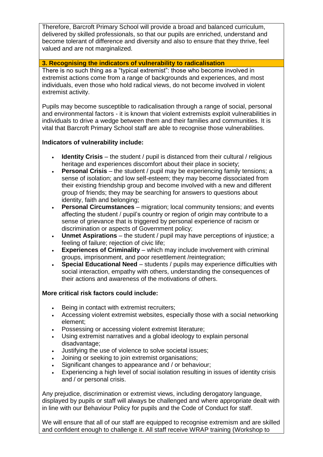Therefore, Barcroft Primary School will provide a broad and balanced curriculum, delivered by skilled professionals, so that our pupils are enriched, understand and become tolerant of difference and diversity and also to ensure that they thrive, feel valued and are not marginalized.

# **3. Recognising the indicators of vulnerability to radicalisation**

There is no such thing as a "typical extremist": those who become involved in extremist actions come from a range of backgrounds and experiences, and most individuals, even those who hold radical views, do not become involved in violent extremist activity.

Pupils may become susceptible to radicalisation through a range of social, personal and environmental factors - it is known that violent extremists exploit vulnerabilities in individuals to drive a wedge between them and their families and communities. It is vital that Barcroft Primary School staff are able to recognise those vulnerabilities.

# **Indicators of vulnerability include:**

- **Identity Crisis** the student / pupil is distanced from their cultural / religious heritage and experiences discomfort about their place in society;
- **Personal Crisis** the student / pupil may be experiencing family tensions; a sense of isolation; and low self-esteem; they may become dissociated from their existing friendship group and become involved with a new and different group of friends; they may be searching for answers to questions about identity, faith and belonging;
- **Personal Circumstances** migration; local community tensions; and events affecting the student / pupil's country or region of origin may contribute to a sense of grievance that is triggered by personal experience of racism or discrimination or aspects of Government policy;
- **Unmet Aspirations** the student / pupil may have perceptions of injustice; a feeling of failure; rejection of civic life;
- **Experiences of Criminality** which may include involvement with criminal groups, imprisonment, and poor resettlement /reintegration;
- **Special Educational Need** students / pupils may experience difficulties with social interaction, empathy with others, understanding the consequences of their actions and awareness of the motivations of others.

# **More critical risk factors could include:**

- **Being in contact with extremist recruiters;**
- Accessing violent extremist websites, especially those with a social networking element;
- Possessing or accessing violent extremist literature;
- Using extremist narratives and a global ideology to explain personal disadvantage;
- Justifying the use of violence to solve societal issues;
- Joining or seeking to join extremist organisations;
- Significant changes to appearance and / or behaviour;
- Experiencing a high level of social isolation resulting in issues of identity crisis and / or personal crisis.

Any prejudice, discrimination or extremist views, including derogatory language, displayed by pupils or staff will always be challenged and where appropriate dealt with in line with our Behaviour Policy for pupils and the Code of Conduct for staff.

We will ensure that all of our staff are equipped to recognise extremism and are skilled and confident enough to challenge it. All staff receive WRAP training (Workshop to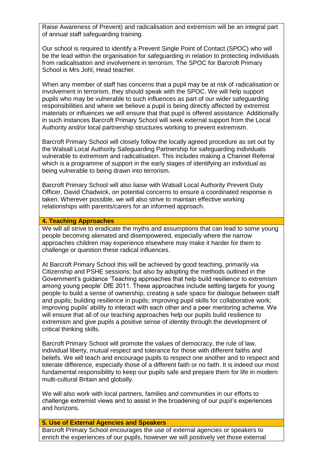Raise Awareness of Prevent) and radicalisation and extremism will be an integral part of annual staff safeguarding training.

Our school is required to identify a Prevent Single Point of Contact (SPOC) who will be the lead within the organisation for safeguarding in relation to protecting individuals from radicalisation and involvement in terrorism. The SPOC for Barcroft Primary School is Mrs Johl, Head teacher*.* 

When any member of staff has concerns that a pupil may be at risk of radicalisation or involvement in terrorism, they should speak with the SPOC. We will help support pupils who may be vulnerable to such influences as part of our wider safeguarding responsibilities and where we believe a pupil is being directly affected by extremist materials or influences we will ensure that that pupil is offered assistance. Additionally in such instances Barcroft Primary School will seek external support from the Local Authority and/or local partnership structures working to prevent extremism.

Barcroft Primary School will closely follow the locally agreed procedure as set out by the Walsall Local Authority Safeguarding Partnership for safeguarding individuals vulnerable to extremism and radicalisation. This includes making a Channel Referral which is a programme of support in the early stages of identifying an individual as being vulnerable to being drawn into terrorism.

Barcroft Primary School will also liaise with Walsall Local Authority Prevent Duty Officer, David Chadwick, on potential concerns to ensure a coordinated response is taken. Wherever possible, we will also strive to maintain effective working relationships with parents/carers for an informed approach.

### **4. Teaching Approaches**

We will all strive to eradicate the myths and assumptions that can lead to some young people becoming alienated and disempowered, especially where the narrow approaches children may experience elsewhere may make it harder for them to challenge or question these radical influences.

At Barcroft Primary School this will be achieved by good teaching, primarily via Citizenship and PSHE sessions; but also by adopting the methods outlined in the Government's guidance 'Teaching approaches that help build resilience to extremism among young people' DfE 2011. These approaches include setting targets for young people to build a sense of ownership; creating a safe space for dialogue between staff and pupils; building resilience in pupils; improving pupil skills for collaborative work; improving pupils' ability to interact with each other and a peer mentoring scheme. We will ensure that all of our teaching approaches help our pupils build resilience to extremism and give pupils a positive sense of identity through the development of critical thinking skills.

Barcroft Primary School will promote the values of democracy, the rule of law, individual liberty, mutual respect and tolerance for those with different faiths and beliefs. We will teach and encourage pupils to respect one another and to respect and tolerate difference, especially those of a different faith or no faith. It is indeed our most fundamental responsibility to keep our pupils safe and prepare them for life in modern multi-cultural Britain and globally.

We will also work with local partners, families and communities in our efforts to challenge extremist views and to assist in the broadening of our pupil's experiences and horizons.

### **5. Use of External Agencies and Speakers**

Barcroft Primary School encourages the use of external agencies or speakers to enrich the experiences of our pupils, however we will positively vet those external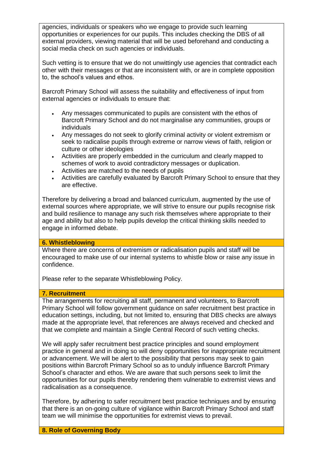agencies, individuals or speakers who we engage to provide such learning opportunities or experiences for our pupils. This includes checking the DBS of all external providers, viewing material that will be used beforehand and conducting a social media check on such agencies or individuals.

Such vetting is to ensure that we do not unwittingly use agencies that contradict each other with their messages or that are inconsistent with, or are in complete opposition to, the school's values and ethos.

Barcroft Primary School will assess the suitability and effectiveness of input from external agencies or individuals to ensure that:

- Any messages communicated to pupils are consistent with the ethos of Barcroft Primary School and do not marginalise any communities, groups or individuals
- Any messages do not seek to glorify criminal activity or violent extremism or seek to radicalise pupils through extreme or narrow views of faith, religion or culture or other ideologies
- Activities are properly embedded in the curriculum and clearly mapped to schemes of work to avoid contradictory messages or duplication.
- Activities are matched to the needs of pupils
- Activities are carefully evaluated by Barcroft Primary School to ensure that they are effective.

Therefore by delivering a broad and balanced curriculum, augmented by the use of external sources where appropriate, we will strive to ensure our pupils recognise risk and build resilience to manage any such risk themselves where appropriate to their age and ability but also to help pupils develop the critical thinking skills needed to engage in informed debate.

# **6. Whistleblowing**

Where there are concerns of extremism or radicalisation pupils and staff will be encouraged to make use of our internal systems to whistle blow or raise any issue in confidence.

Please refer to the separate Whistleblowing Policy.

### **7. Recruitment**

The arrangements for recruiting all staff, permanent and volunteers, to Barcroft Primary School will follow government guidance on safer recruitment best practice in education settings, including, but not limited to, ensuring that DBS checks are always made at the appropriate level, that references are always received and checked and that we complete and maintain a Single Central Record of such vetting checks.

We will apply safer recruitment best practice principles and sound employment practice in general and in doing so will deny opportunities for inappropriate recruitment or advancement. We will be alert to the possibility that persons may seek to gain positions within Barcroft Primary School so as to unduly influence Barcroft Primary School's character and ethos. We are aware that such persons seek to limit the opportunities for our pupils thereby rendering them vulnerable to extremist views and radicalisation as a consequence.

Therefore, by adhering to safer recruitment best practice techniques and by ensuring that there is an on-going culture of vigilance within Barcroft Primary School and staff team we will minimise the opportunities for extremist views to prevail.